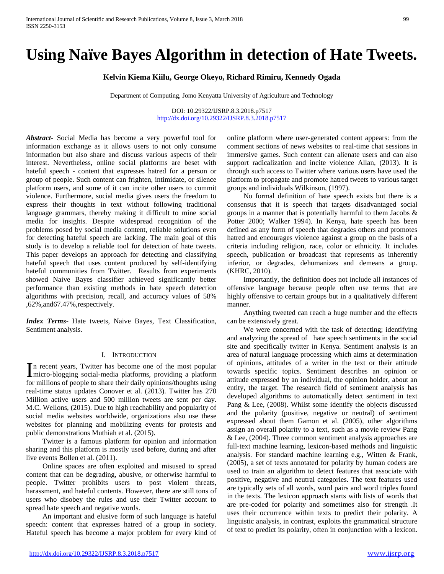# **Using Naïve Bayes Algorithm in detection of Hate Tweets.**

# **Kelvin Kiema Kiilu, George Okeyo, Richard Rimiru, Kennedy Ogada**

Department of Computing, Jomo Kenyatta University of Agriculture and Technology

DOI: 10.29322/IJSRP.8.3.2018.p7517 <http://dx.doi.org/10.29322/IJSRP.8.3.2018.p7517>

*Abstract***-** Social Media has become a very powerful tool for information exchange as it allows users to not only consume information but also share and discuss various aspects of their interest. Nevertheless, online social platforms are beset with hateful speech - content that expresses hatred for a person or group of people. Such content can frighten, intimidate, or silence platform users, and some of it can incite other users to commit violence. Furthermore, social media gives users the freedom to express their thoughts in text without following traditional language grammars, thereby making it difficult to mine social media for insights. Despite widespread recognition of the problems posed by social media content, reliable solutions even for detecting hateful speech are lacking. The main goal of this study is to develop a reliable tool for detection of hate tweets. This paper develops an approach for detecting and classifying hateful speech that uses content produced by self-identifying hateful communities from Twitter. Results from experiments showed Naive Bayes classifier achieved significantly better performance than existing methods in hate speech detection algorithms with precision, recall, and accuracy values of 58% ,62%,and67.47%,respectively.

*Index Terms*- Hate tweets, Naive Bayes, Text Classification, Sentiment analysis.

#### I. INTRODUCTION

n recent years, Twitter has become one of the most popular In recent years, Twitter has become one of the most popular micro-blogging social-media platforms, providing a platform for millions of people to share their daily opinions/thoughts using real-time status updates Conover et al. (2013). Twitter has 270 Million active users and 500 million tweets are sent per day. M.C. Wellons, (2015). Due to high reachability and popularity of social media websites worldwide, organizations also use these websites for planning and mobilizing events for protests and public demonstrations Muthiah et al. (2015).

 Twitter is a famous platform for opinion and information sharing and this platform is mostly used before, during and after live events Bollen et al. (2011).

 Online spaces are often exploited and misused to spread content that can be degrading, abusive, or otherwise harmful to people. Twitter prohibits users to post violent threats, harassment, and hateful contents. However, there are still tons of users who disobey the rules and use their Twitter account to spread hate speech and negative words.

 An important and elusive form of such language is hateful speech: content that expresses hatred of a group in society. Hateful speech has become a major problem for every kind of online platform where user-generated content appears: from the comment sections of news websites to real-time chat sessions in immersive games. Such content can alienate users and can also support radicalization and incite violence Allan, (2013). It is through such access to Twitter where various users have used the platform to propagate and promote hatred tweets to various target groups and individuals Wilkinson, (1997).

 No formal definition of hate speech exists but there is a consensus that it is speech that targets disadvantaged social groups in a manner that is potentially harmful to them Jacobs & Potter 2000; Walker 1994). In Kenya, hate speech has been defined as any form of speech that degrades others and promotes hatred and encourages violence against a group on the basis of a criteria including religion, race, color or ethnicity. It includes speech, publication or broadcast that represents as inherently inferior, or degrades, dehumanizes and demeans a group. (KHRC, 2010).

 Importantly, the definition does not include all instances of offensive language because people often use terms that are highly offensive to certain groups but in a qualitatively different manner.

 Anything tweeted can reach a huge number and the effects can be extensively great.

 We were concerned with the task of detecting; identifying and analyzing the spread of hate speech sentiments in the social site and specifically twitter in Kenya. Sentiment analysis is an area of natural language processing which aims at determination of opinions, attitudes of a writer in the text or their attitude towards specific topics. Sentiment describes an opinion or attitude expressed by an individual, the opinion holder, about an entity, the target. The research field of sentiment analysis has developed algorithms to automatically detect sentiment in text Pang & Lee, (2008). Whilst some identify the objects discussed and the polarity (positive, negative or neutral) of sentiment expressed about them Gamon et al. (2005), other algorithms assign an overall polarity to a text, such as a movie review Pang & Lee, (2004). Three common sentiment analysis approaches are full-text machine learning, lexicon-based methods and linguistic analysis. For standard machine learning e.g., Witten & Frank, (2005), a set of texts annotated for polarity by human coders are used to train an algorithm to detect features that associate with positive, negative and neutral categories. The text features used are typically sets of all words, word pairs and word triples found in the texts. The lexicon approach starts with lists of words that are pre-coded for polarity and sometimes also for strength .It uses their occurrence within texts to predict their polarity. A linguistic analysis, in contrast, exploits the grammatical structure of text to predict its polarity, often in conjunction with a lexicon.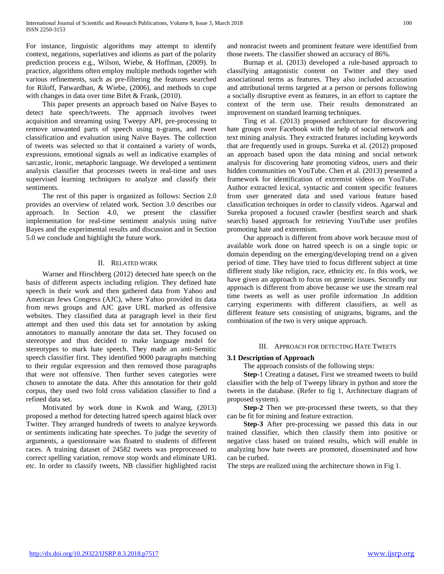For instance, linguistic algorithms may attempt to identify context, negations, superlatives and idioms as part of the polarity prediction process e.g., Wilson, Wiebe, & Hoffman, (2009). In practice, algorithms often employ multiple methods together with various refinements, such as pre-filtering the features searched for Riloff, Patwardhan, & Wiebe, (2006), and methods to cope with changes in data over time Bifet & Frank, (2010).

 This paper presents an approach based on Naïve Bayes to detect hate speech/tweets. The approach involves tweet acquisition and streaming using Tweepy API, pre-processing to remove unwanted parts of speech using n-grams, and tweet classification and evaluation using Naïve Bayes. The collection of tweets was selected so that it contained a variety of words, expressions, emotional signals as well as indicative examples of sarcastic, ironic, metaphoric language. We developed a sentiment analysis classifier that processes tweets in real-time and uses supervised learning techniques to analyze and classify their sentiments.

 The rest of this paper is organized as follows: Section 2.0 provides an overview of related work. Section 3.0 describes our approach. In Section 4.0, we present the classifier implementation for real-time sentiment analysis using naïve Bayes and the experimental results and discussion and in Section 5.0 we conclude and highlight the future work.

## II. RELATED WORK

 Warner and Hirschberg (2012) detected hate speech on the basis of different aspects including religion. They defined hate speech in their work and then gathered data from Yahoo and American Jews Congress (AJC), where Yahoo provided its data from news groups and AJC gave URL marked as offensive websites. They classified data at paragraph level in their first attempt and then used this data set for annotation by asking annotators to manually annotate the data set. They focused on stereotype and thus decided to make language model for stereotypes to mark hate speech. They made an anti-Semitic speech classifier first. They identified 9000 paragraphs matching to their regular expression and then removed those paragraphs that were not offensive. Then further seven categories were chosen to annotate the data. After this annotation for their gold corpus, they used two fold cross validation classifier to find a refined data set.

 Motivated by work done in Kwok and Wang, (2013) proposed a method for detecting hatred speech against black over Twitter. They arranged hundreds of tweets to analyze keywords or sentiments indicating hate speeches. To judge the severity of arguments, a questionnaire was floated to students of different races. A training dataset of 24582 tweets was preprocessed to correct spelling variation, remove stop words and eliminate URL etc. In order to classify tweets, NB classifier highlighted racist

and nonracist tweets and prominent feature were identified from those tweets. The classifier showed an accuracy of 86%.

 Burnap et al. (2013) developed a rule-based approach to classifying antagonistic content on Twitter and they used associational terms as features. They also included accusation and attributional terms targeted at a person or persons following a socially disruptive event as features, in an effort to capture the context of the term use. Their results demonstrated an improvement on standard learning techniques.

 Ting et al. (2013) proposed architecture for discovering hate groups over Facebook with the help of social network and text mining analysis. They extracted features including keywords that are frequently used in groups. Sureka et al. (2012) proposed an approach based upon the data mining and social network analysis for discovering hate promoting videos, users and their hidden communities on YouTube. Chen et al. (2013) presented a framework for identification of extremist videos on YouTube. Author extracted lexical, syntactic and content specific features from user generated data and used various feature based classification techniques in order to classify videos. Agarwal and Sureka proposed a focused crawler (bestfirst search and shark search) based approach for retrieving YouTube user profiles promoting hate and extremism.

 Our approach is different from above work because most of available work done on hatred speech is on a single topic or domain depending on the emerging/developing trend on a given period of time. They have tried to focus different subject at time different study like religion, race, ethnicity etc. In this work, we have given an approach to focus on generic issues. Secondly our approach is different from above because we use the stream real time tweets as well as user profile information .In addition carrying experiments with different classifiers, as well as different feature sets consisting of unigrams, bigrams, and the combination of the two is very unique approach.

## III. APPROACH FOR DETECTING HATE TWEETS

## **3.1 Description of Approach**

The approach consists of the following steps:

 **Step-**1 Creating a dataset**.** First we streamed tweets to build classifier with the help of Tweepy library in python and store the tweets in the database. (Refer to fig 1, Architecture diagram of proposed system).

 **Step-2** Then we pre-processed these tweets, so that they can be fit for mining and feature extraction.

 **Step-3** After pre-processing we passed this data in our trained classifier, which then classify them into positive or negative class based on trained results, which will enable in analyzing how hate tweets are promoted, disseminated and how can be curbed.

The steps are realized using the architecture shown in Fig 1.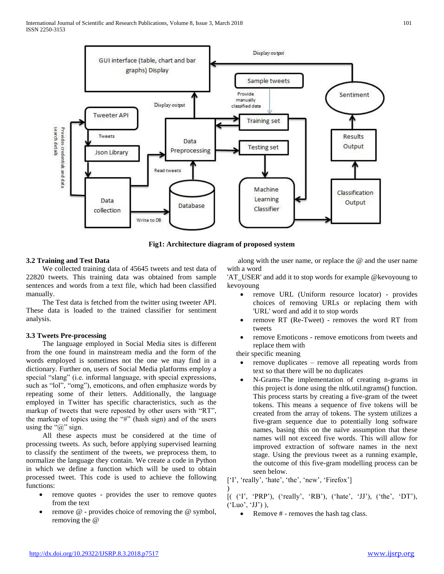

**Fig1: Architecture diagram of proposed system**

## **3.2 Training and Test Data**

 We collected training data of 45645 tweets and test data of 22820 tweets. This training data was obtained from sample sentences and words from a text file, which had been classified manually.

 The Test data is fetched from the twitter using tweeter API. These data is loaded to the trained classifier for sentiment analysis.

## **3.3 Tweets Pre-processing**

 The language employed in Social Media sites is different from the one found in mainstream media and the form of the words employed is sometimes not the one we may find in a dictionary. Further on, users of Social Media platforms employ a special "slang" (i.e. informal language, with special expressions, such as "lol", "omg"), emoticons, and often emphasize words by repeating some of their letters. Additionally, the language employed in Twitter has specific characteristics, such as the markup of tweets that were reposted by other users with "RT", the markup of topics using the "#" (hash sign) and of the users using the " $@$ " sign.

 All these aspects must be considered at the time of processing tweets. As such, before applying supervised learning to classify the sentiment of the tweets, we preprocess them, to normalize the language they contain. We create a code in Python in which we define a function which will be used to obtain processed tweet. This code is used to achieve the following functions:

- remove quotes provides the user to remove quotes from the text
- remove @ provides choice of removing the @ symbol, removing the @

 along with the user name, or replace the @ and the user name with a word

'AT\_USER' and add it to stop words for example @kevoyoung to kevoyoung

- remove URL (Uniform resource locator) provides choices of removing URLs or replacing them with 'URL' word and add it to stop words
- remove RT (Re-Tweet) removes the word RT from tweets
- remove Emoticons remove emoticons from tweets and replace them with

their specific meaning

- remove duplicates remove all repeating words from text so that there will be no duplicates
- N-Grams-The implementation of creating n-grams in this project is done using the nltk.util.ngrams() function. This process starts by creating a five-gram of the tweet tokens. This means a sequence of five tokens will be created from the array of tokens. The system utilizes a five-gram sequence due to potentially long software names, basing this on the naïve assumption that these names will not exceed five words. This will allow for improved extraction of software names in the next stage. Using the previous tweet as a running example, the outcome of this five-gram modelling process can be seen below.

['I', 'really', 'hate', 'the', 'new', 'Firefox']

) [( ('I', 'PRP'), ('really', 'RB'), ('hate', 'JJ'), ('the', 'DT'),  $('Luo', 'JJ'),$ 

• Remove # - removes the hash tag class.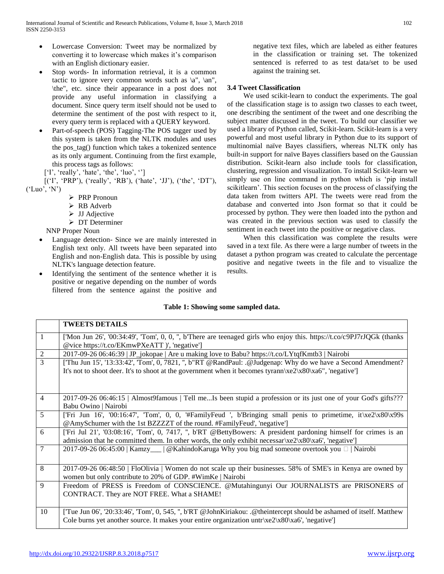- Lowercase Conversion: Tweet may be normalized by converting it to lowercase which makes it's comparison with an English dictionary easier.
- Stop words- In information retrieval, it is a common tactic to ignore very common words such as  $\a^n$ ,  $\an^n$ , \the", etc. since their appearance in a post does not provide any useful information in classifying a document. Since query term itself should not be used to determine the sentiment of the post with respect to it, every query term is replaced with a QUERY keyword.
- Part-of-speech (POS) Tagging-The POS tagger used by this system is taken from the NLTK modules and uses the pos\_tag() function which takes a tokenized sentence as its only argument. Continuing from the first example, this process tags as follows:

['I', 'really', 'hate', 'the', 'luo', '']

 [('I', 'PRP'), ('really', 'RB'), ('hate', 'JJ'), ('the', 'DT'),  $(Luo', 'N')$ 

- ▶ PRP Pronoun
- RB Adverb
- $\triangleright$  JJ Adjective
- DT Determiner

NNP Proper Noun

- Language detection- Since we are mainly interested in English text only. All tweets have been separated into English and non-English data. This is possible by using NLTK's language detection feature.
- Identifying the sentiment of the sentence whether it is positive or negative depending on the number of words filtered from the sentence against the positive and

negative text files, which are labeled as either features in the classification or training set. The tokenized sentenced is referred to as test data/set to be used against the training set.

# **3.4 Tweet Classification**

 We used scikit-learn to conduct the experiments. The goal of the classification stage is to assign two classes to each tweet, one describing the sentiment of the tweet and one describing the subject matter discussed in the tweet. To build our classifier we used a library of Python called, Scikit-learn. Scikit-learn is a very powerful and most useful library in Python due to its support of multinomial naïve Bayes classifiers, whereas NLTK only has built-in support for naïve Bayes classifiers based on the Gaussian distribution. Scikit-learn also include tools for classification, clustering, regression and visualization. To install Scikit-learn we simply use on line command in python which is 'pip install scikitlearn'. This section focuses on the process of classifying the data taken from twitters API. The tweets were read from the database and converted into Json format so that it could be processed by python. They were then loaded into the python and was created in the previous section was used to classify the sentiment in each tweet into the positive or negative class.

 When this classification was complete the results were saved in a text file. As there were a large number of tweets in the dataset a python program was created to calculate the percentage positive and negative tweets in the file and to visualize the results.

## **Table 1: Showing some sampled data.**

|                | <b>TWEETS DETAILS</b>                                                                                                                                                                                                     |
|----------------|---------------------------------------------------------------------------------------------------------------------------------------------------------------------------------------------------------------------------|
| $\mathbf{1}$   | ['Mon Jun 26', '00:34:49', 'Tom', 0, 0, '', b'There are teenaged girls who enjoy this. https://t.co/c9PJ7rJQGk (thanks<br>@vice https://t.co/EKmwPXeATT )', 'negative']                                                   |
| $\overline{c}$ | 2017-09-26 06:46:39   JP_jokopae   Are u making love to Babu? https://t.co/LYtqfKmtb3   Nairobi                                                                                                                           |
| $\overline{3}$ | ['Thu Jun 15', '13:33:42', 'Tom', 0, 7821, ", b"RT @RandPaul: .@Judgenap: Why do we have a Second Amendment?<br>It's not to shoot deer. It's to shoot at the government when it becomes tyrann\xe2\x80\xa6", 'negative']  |
|                |                                                                                                                                                                                                                           |
| $\overline{4}$ | 2017-09-26 06:46:15   Almost9famous   Tell meIs been stupid a profession or its just one of your God's gifts???<br>Babu Owino   Nairobi                                                                                   |
| 5              | ['Fri Jun 16', '00:16:47', 'Tom', 0, 0, '#FamilyFeud ', b'Bringing small penis to primetime, it $xe2\x80\x99s$<br>@AmySchumer with the 1st BZZZZT of the round. #FamilyFeud', 'negative']                                 |
| 6              | ['Fri Jul 21', '03:08:16', 'Tom', 0, 7417, ", b'RT @BettyBowers: A president pardoning himself for crimes is an<br>admission that he committed them. In other words, the only exhibit necessar\xe2\x80\xa6', 'negative']  |
| 7              | 2017-09-26 06:45:00   Kamzy__   @ Kahindo Karuga Why you big mad someone overtook you □   Nairobi                                                                                                                         |
| 8              | 2017-09-26 06:48:50   FloOlivia   Women do not scale up their businesses. 58% of SME's in Kenya are owned by<br>women but only contribute to 20% of GDP. #WimKe   Nairobi                                                 |
| 9              | Freedom of PRESS is Freedom of CONSCIENCE. @Mutahingunyi Our JOURNALISTS are PRISONERS of<br>CONTRACT. They are NOT FREE. What a SHAME!                                                                                   |
| 10             | ['Tue Jun 06', '20:33:46', 'Tom', 0, 545, ", b'RT @JohnKiriakou: .@theintercept should be ashamed of itself. Matthew<br>Cole burns yet another source. It makes your entire organization untr $\xe2\x80\x80$ , 'negative' |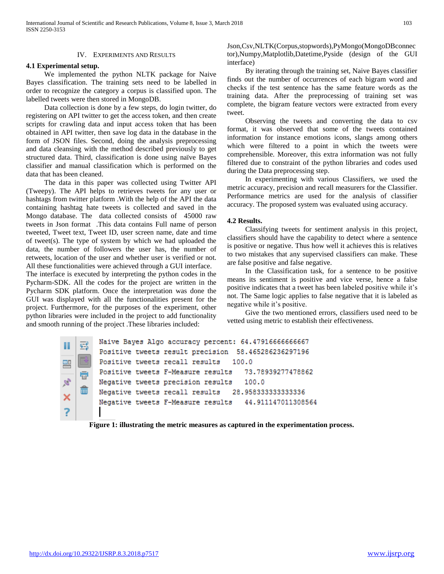## IV. EXPERIMENTS AND RESULTS

#### **4.1 Experimental setup.**

 We implemented the python NLTK package for Naive Bayes classification. The training sets need to be labelled in order to recognize the category a corpus is classified upon. The labelled tweets were then stored in MongoDB.

 Data collection is done by a few steps, do login twitter, do registering on API twitter to get the access token, and then create scripts for crawling data and input access token that has been obtained in API twitter, then save log data in the database in the form of JSON files. Second, doing the analysis preprocessing and data cleansing with the method described previously to get structured data. Third, classification is done using naïve Bayes classifier and manual classification which is performed on the data that has been cleaned.

 The data in this paper was collected using Twitter API (Tweepy). The API helps to retrieves tweets for any user or hashtags from twitter platform .With the help of the API the data containing hashtag hate tweets is collected and saved in the Mongo database. The data collected consists of 45000 raw tweets in Json format .This data contains Full name of person tweeted, Tweet text, Tweet ID, user screen name, date and time of tweet(s). The type of system by which we had uploaded the data, the number of followers the user has, the number of retweets, location of the user and whether user is verified or not. All these functionalities were achieved through a GUI interface.

The interface is executed by interpreting the python codes in the Pycharm-SDK. All the codes for the project are written in the Pycharm SDK platform. Once the interpretation was done the GUI was displayed with all the functionalities present for the project. Furthermore, for the purposes of the experiment, other python libraries were included in the project to add functionality and smooth running of the project .These libraries included:

Json,Csv,NLTK(Corpus,stopwords),PyMongo(MongoDBconnec tor),Numpy,Matplotlib,Datetime,Pyside (design of the GUI interface)

 By iterating through the training set, Naive Bayes classifier finds out the number of occurrences of each bigram word and checks if the test sentence has the same feature words as the training data. After the preprocessing of training set was complete, the bigram feature vectors were extracted from every tweet.

 Observing the tweets and converting the data to csv format, it was observed that some of the tweets contained information for instance emotions icons, slangs among others which were filtered to a point in which the tweets were comprehensible. Moreover, this extra information was not fully filtered due to constraint of the python libraries and codes used during the Data preprocessing step.

 In experimenting with various Classifiers, we used the metric accuracy, precision and recall measurers for the Classifier. Performance metrics are used for the analysis of classifier accuracy. The proposed system was evaluated using accuracy.

#### **4.2 Results.**

 Classifying tweets for sentiment analysis in this project, classifiers should have the capability to detect where a sentence is positive or negative. Thus how well it achieves this is relatives to two mistakes that any supervised classifiers can make. These are false positive and false negative.

 In the Classification task, for a sentence to be positive means its sentiment is positive and vice verse, hence a false positive indicates that a tweet has been labeled positive while it's not. The Same logic applies to false negative that it is labeled as negative while it's positive.

 Give the two mentioned errors, classifiers used need to be vetted using metric to establish their effectiveness.

```
Naive Bayes Algo accuracy percent: 64.47916666666667
Ш
         Positive tweets result precision
                                          58.465286236297196
         Positive tweets recall results
                                          100.0
므
         Positive tweets F-Measure results
                                             73.78939277478862
         Negative tweets precision results
                                             100.0
         Negative tweets recall results
                                          28.958333333333336
         Negative tweets F-Measure results
                                              44.911147011308564
```
**Figure 1: illustrating the metric measures as captured in the experimentation process.**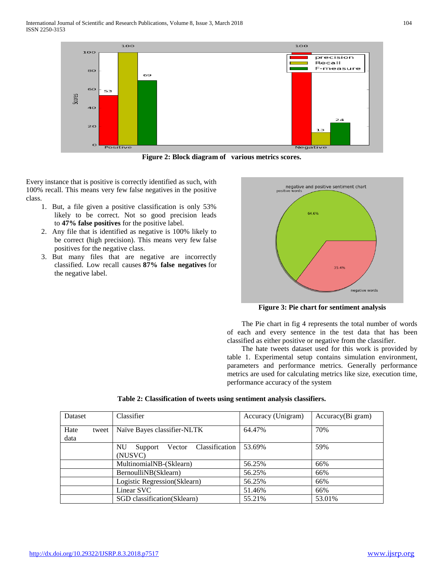

**Figure 2: Block diagram of various metrics scores.**

Every instance that is positive is correctly identified as such, with 100% recall. This means very few false negatives in the positive class.

- 1. But, a file given a positive classification is only 53% likely to be correct. Not so good precision leads to **47% false positives** for the positive label.
- 2. Any file that is identified as negative is 100% likely to be correct (high precision). This means very few false positives for the negative class.
- 3. But many files that are negative are incorrectly classified. Low recall causes **87% false negatives** for the negative label.



**Figure 3: Pie chart for sentiment analysis**

 The Pie chart in fig 4 represents the total number of words of each and every sentence in the test data that has been classified as either positive or negative from the classifier.

 The hate tweets dataset used for this work is provided by table 1. Experimental setup contains simulation environment, parameters and performance metrics. Generally performance metrics are used for calculating metrics like size, execution time, performance accuracy of the system

| Dataset |       | Classifier                             | Accuracy (Unigram) | Accuracy(Bi gram) |
|---------|-------|----------------------------------------|--------------------|-------------------|
| Hate    | tweet | Naïve Bayes classifier-NLTK            | 64.47%             | 70%               |
| data    |       |                                        |                    |                   |
|         |       | Vector Classification<br>NU<br>Support | 53.69%             | 59%               |
|         |       | (NUSVC)                                |                    |                   |
|         |       | MultinomialNB-(Sklearn)                | 56.25%             | 66%               |
|         |       | BernoulliNB(Sklearn)                   | 56.25%             | 66%               |
|         |       | Logistic Regression(Sklearn)           | 56.25%             | 66%               |
|         |       | Linear SVC                             | 51.46%             | 66%               |
|         |       | SGD classification(Sklearn)            | 55.21%             | 53.01%            |

**Table 2: Classification of tweets using sentiment analysis classifiers.**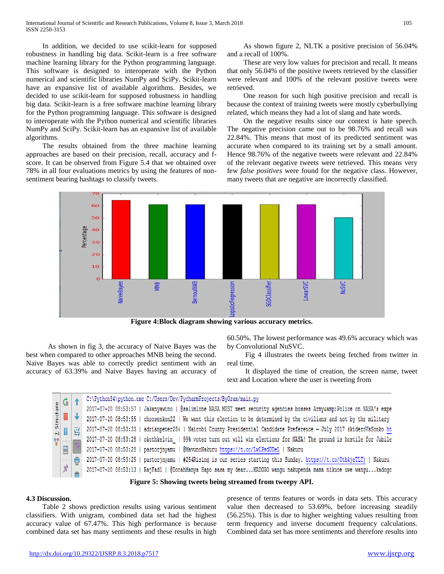In addition, we decided to use scikit-learn for supposed robustness in handling big data. Scikit-learn is a free software machine learning library for the Python programming language. This software is designed to interoperate with the Python numerical and scientific libraries NumPy and SciPy. Scikit-learn have an expansive list of available algorithms. Besides, we decided to use scikit-learn for supposed robustness in handling big data. Scikit-learn is a free software machine learning library for the Python programming language. This software is designed to interoperate with the Python numerical and scientific libraries NumPy and SciPy. Scikit-learn has an expansive list of available algorithms.

 The results obtained from the three machine learning approaches are based on their precision, recall, accuracy and fscore. It can be observed from Figure 5.4 that we obtained over 78% in all four evaluations metrics by using the features of nonsentiment bearing hashtags to classify tweets.

 As shown figure 2, NLTK a positive precision of 56.04% and a recall of 100%.

 These are very low values for precision and recall. It means that only 56.04% of the positive tweets retrieved by the classifier were relevant and 100% of the relevant positive tweets were retrieved.

 One reason for such high positive precision and recall is because the context of training tweets were mostly cyberbullying related, which means they had a lot of slang and hate words.

 On the negative results since our context is hate speech. The negative precision came out to be 98.76% and recall was 22.84%. This means that most of its predicted sentiment was accurate when compared to its training set by a small amount. Hence 98.76% of the negative tweets were relevant and 22.84% of the relevant negative tweets were retrieved. This means very few *false positives* were found for the negative class. However, many tweets that are negative are incorrectly classified.



**Figure 4:Block diagram showing various accuracy metrics.**

 As shown in fig 3, the accuracy of Naive Bayes was the best when compared to other approaches MNB being the second. Naive Bayes was able to correctly predict sentiment with an accuracy of 63.39% and Naive Bayes having an accuracy of 60.50%. The lowest performance was 49.6% accuracy which was by Convolutional NuSVC.

 Fig 4 illustrates the tweets being fetched from twitter in real time.

 It displayed the time of creation, the screen name, tweet text and Location where the user is tweeting from

|                                   |   | C:\Python34\python.exe C:/Users/Dev/PycharmProjects/ByGram/main.py                                                     |
|-----------------------------------|---|------------------------------------------------------------------------------------------------------------------------|
|                                   |   | 2017-07-20 08:53:57   Jakanyawino   @salimlone NASA MUST meet security agencies bosses Armyaamp; Police on NASA's expe |
| $\frac{2! \, \text{Stroduce}}{=}$ |   | 2017-07-20 08:53:55   choosenken22   We want this election to be determined by the civilians and not by the military   |
|                                   | 鬲 | 2017-07-20 08:53:33   adrianpeter254   Nairobi County Presidential Candidate Preference - July 2017 #kideroVsSonko ht  |
| $\epsilon$ and $\epsilon$         |   | 2017-07-20 08:53:28   okothkelvin   99% voter turn out will win elections for NASA! The ground is hostile for Jubile   |
| 먤                                 |   | 2017-07-20 08:53:28   pastorjnyamu   @MavunoNakuru https://t.co/LwLPsdDDeL   Nakuru                                    |
|                                   | 局 | 2017-07-20 08:53:25   pastorjnyamu   #254Rising is our series starting this Sunday. https://t.co/OtbkjeTLTj   Nakuru   |
| $\mathcal{Q}$                     |   | 2017-07-20 08:53:13   RajFad1   @DorahManya Hapo sasa my dear KADOGO wangu nakupenda mama nikuoe uwe wangu kadogo      |
|                                   |   |                                                                                                                        |

**Figure 5: Showing tweets being streamed from tweepy API.**

#### **4.3 Discussion.**

 Table 2 shows prediction results using various sentiment classifiers. With unigram, combined data set had the highest accuracy value of 67.47%. This high performance is because combined data set has many sentiments and these results in high

presence of terms features or words in data sets. This accuracy value then decreased to 53.69%, before increasing steadily (56.25%). This is due to higher weighting values resulting from term frequency and inverse document frequency calculations. Combined data set has more sentiments and therefore results into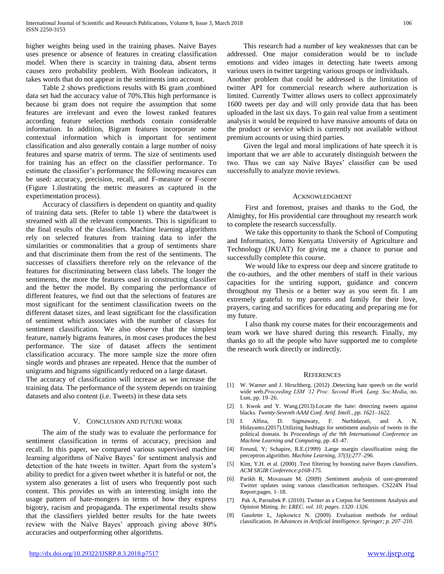higher weights being used in the training phases. Naive Bayes uses presence or absence of features in creating classification model. When there is scarcity in training data, absent terms causes zero probability problem. With Boolean indicators, it takes words that do not appear in the sentiments into account.

 Table 2 shows predictions results with Bi gram ,combined data set had the accuracy value of 70%.This high performance is because bi gram does not require the assumption that some features are irrelevant and even the lowest ranked features according feature selection methods contain considerable information. In addition, Bigram features incorporate some contextual information which is important for sentiment classification and also generally contain a large number of noisy features and sparse matrix of terms. The size of sentiments used for training has an effect on the classifier performance. To estimate the classifier's performance the following measures can be used: accuracy, precision, recall, and F-measure or F-score (Figure 1.ilustrating the metric measures as captured in the experimentation process).

 Accuracy of classifiers is dependent on quantity and quality of training data sets. (Refer to table 1) where the data/tweet is streamed with all the relevant components. This is significant to the final results of the classifiers. Machine learning algorithms rely on selected features from training data to infer the similarities or commonalities that a group of sentiments share and that discriminate them from the rest of the sentiments. The successes of classifiers therefore rely on the relevance of the features for discriminating between class labels. The longer the sentiments, the more the features used in constructing classifier and the better the model. By comparing the performance of different features, we find out that the selections of features are most significant for the sentiment classification tweets on the different dataset sizes, and least significant for the classification of sentiment which associates with the number of classes for sentiment classification. We also observe that the simplest feature, namely bigrams features, in most cases produces the best performance. The size of dataset affects the sentiment classification accuracy. The more sample size the more often single words and phrases are repeated. Hence that the number of unigrams and bigrams significantly reduced on a large dataset.

The accuracy of classification will increase as we increase the training data. The performance of the system depends on training datasets and also content (i.e. Tweets) in these data sets

#### V. CONCLUSION AND FUTURE WORK

 The aim of the study was to evaluate the performance for sentiment classification in terms of accuracy, precision and recall. In this paper, we compared various supervised machine learning algorithms of Naïve Bayes' for sentiment analysis and detection of the hate tweets in twitter. Apart from the system's ability to predict for a given tweet whether it is hateful or not, the system also generates a list of users who frequently post such content. This provides us with an interesting insight into the usage pattern of hate-mongers in terms of how they express bigotry, racism and propaganda. The experimental results show that the classifiers yielded better results for the hate tweets review with the Naïve Bayes' approach giving above 80% accuracies and outperforming other algorithms.

 This research had a number of key weaknesses that can be addressed. One major consideration would be to include emotions and video images in detecting hate tweets among various users in twitter targeting various groups or individuals. Another problem that could be addressed is the limitation of twitter API for commercial research where authorization is limited. Currently Twitter allows users to collect approximately 1600 tweets per day and will only provide data that has been uploaded in the last six days. To gain real value from a sentiment analysis it would be required to have massive amounts of data on the product or service which is currently not available without premium accounts or using third parties.

 Given the legal and moral implications of hate speech it is important that we are able to accurately distinguish between the two. Thus we can say Naïve Bayes' classifier can be used successfully to analyze movie reviews.

#### ACKNOWLEDGMENT

 First and foremost, praises and thanks to the God, the Almighty, for His providential care throughout my research work to complete the research successfully.

 We take this opportunity to thank the School of Computing and Informatics, Jomo Kenyatta University of Agriculture and Technology (JKUAT) for giving me a chance to pursue and successfully complete this course.

 We would like to express our deep and sincere gratitude to the co-authors, and the other members of staff in their various capacities for the untiring support, guidance and concern throughout my Thesis or a better way as you seem fit. I am extremely grateful to my parents and family for their love, prayers, caring and sacrifices for educating and preparing me for my future.

 I also thank my course mates for their encouragements and team work we have shared during this research. Finally, my thanks go to all the people who have supported me to complete the research work directly or indirectly.

#### **REFERENCES**

- [1] W. Warner and J. Hirschberg. (2012) .Detecting hate speech on the world wide web.*Proceeding LSM '12 Proc. Second Work. Lang. Soc.Media*, no. Lsm, pp. 19–26.
- [2] I. Kwok and Y. Wang.(2013).Locate the hate: detecting tweets against blacks. *Twenty-Seventh AAAI Conf. Artif. Intell., pp. 1621–1622.*
- [3] I. Alfina, D. Sigmawaty, F. Nurhidayati, and A. N. Hidayanto.(2017).Utilizing hashtags for sentiment analysis of tweets in the political domain. In *Proceedings of the 9th International Conference on Machine Learning and Computing*, pp. 43–47.
- [4] Freund, Y; Schapire, R.E.(1999) .Large margin classification using the perceptron algorithm. *Machine Learning, 37(3):277–296.*
- [5] Kim, Y.H. et al. (2000) .Text filtering by boosting naive Bayes classifiers. *ACM SIGIR Conference:p168-175.*
- [6] Parikh R, Movassate M. (2009) .Sentiment analysis of user-generated Twitter updates using various classification techniques. CS224N Final Report;pages. 1–18.
- [7] Pak A, Paroubek P. (2010). Twitter as a Corpus for Sentiment Analysis and Opinion Mining. *In: LREC. vol. 10; pages. 1320–1326.*
- [8] Gaudette L, Japkowicz N. (2009). Evaluation methods for ordinal classification*. In Advances in Artificial Intelligence. Springer; p. 207–210.*